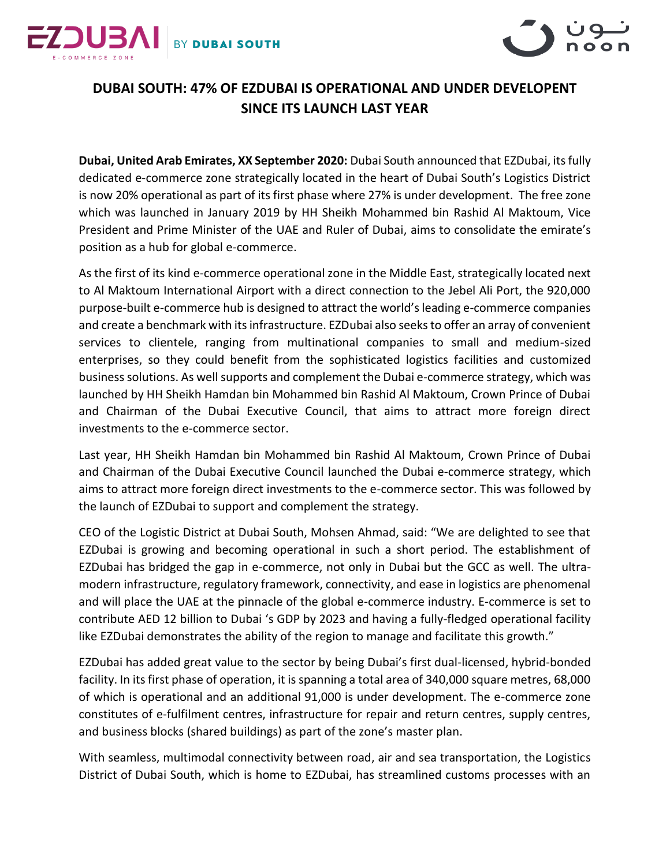



## **DUBAI SOUTH: 47% OF EZDUBAI IS OPERATIONAL AND UNDER DEVELOPENT SINCE ITS LAUNCH LAST YEAR**

**Dubai, United Arab Emirates, XX September 2020:** Dubai South announced that EZDubai, itsfully dedicated e-commerce zone strategically located in the heart of Dubai South's Logistics District is now 20% operational as part of its first phase where 27% is under development. The free zone which was launched in January 2019 by HH Sheikh Mohammed bin Rashid Al Maktoum, Vice President and Prime Minister of the UAE and Ruler of Dubai, aims to consolidate the emirate's position as a hub for global e-commerce.

As the first of its kind e-commerce operational zone in the Middle East, strategically located next to Al Maktoum International Airport with a direct connection to the Jebel Ali Port, the 920,000 purpose-built e-commerce hub is designed to attract the world's leading e-commerce companies and create a benchmark with its infrastructure. EZDubai also seeks to offer an array of convenient services to clientele, ranging from multinational companies to small and medium-sized enterprises, so they could benefit from the sophisticated logistics facilities and customized business solutions. As well supports and complement the Dubai e-commerce strategy, which was launched by HH Sheikh Hamdan bin Mohammed bin Rashid Al Maktoum, Crown Prince of Dubai and Chairman of the Dubai Executive Council, that aims to attract more foreign direct investments to the e-commerce sector.

Last year, HH Sheikh Hamdan bin Mohammed bin Rashid Al Maktoum, Crown Prince of Dubai and Chairman of the Dubai Executive Council launched the Dubai e-commerce strategy, which aims to attract more foreign direct investments to the e-commerce sector. This was followed by the launch of EZDubai to support and complement the strategy.

CEO of the Logistic District at Dubai South, Mohsen Ahmad, said: "We are delighted to see that EZDubai is growing and becoming operational in such a short period. The establishment of EZDubai has bridged the gap in e-commerce, not only in Dubai but the GCC as well. The ultramodern infrastructure, regulatory framework, connectivity, and ease in logistics are phenomenal and will place the UAE at the pinnacle of the global e-commerce industry. E-commerce is set to contribute AED 12 billion to Dubai 's GDP by 2023 and having a fully-fledged operational facility like EZDubai demonstrates the ability of the region to manage and facilitate this growth."

EZDubai has added great value to the sector by being Dubai's first dual-licensed, hybrid-bonded facility. In its first phase of operation, it is spanning a total area of 340,000 square metres, 68,000 of which is operational and an additional 91,000 is under development. The e-commerce zone constitutes of e-fulfilment centres, infrastructure for repair and return centres, supply centres, and business blocks (shared buildings) as part of the zone's master plan.

With seamless, multimodal connectivity between road, air and sea transportation, the Logistics District of Dubai South, which is home to EZDubai, has streamlined customs processes with an